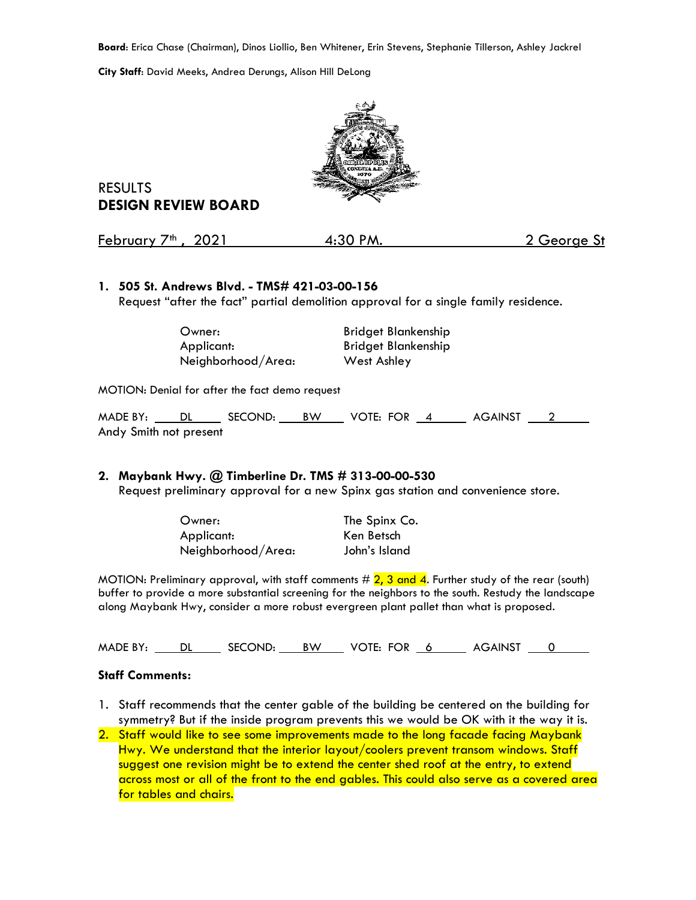**Board**: Erica Chase (Chairman), Dinos Liollio, Ben Whitener, Erin Stevens, Stephanie Tillerson, Ashley Jackrel

**City Staff**: David Meeks, Andrea Derungs, Alison Hill DeLong



## RESULTS **DESIGN REVIEW BOARD**

February  $7<sup>th</sup>$ , 2021  $4:30$  PM.  $2$  George St

## **1. 505 St. Andrews Blvd. - TMS# 421-03-00-156**

Request "after the fact" partial demolition approval for a single family residence.

Bridget Blankenship Bridget Blankenship

West Ashley

| Owner:             |  |
|--------------------|--|
| Applicant:         |  |
| Neighborhood/Area: |  |

MOTION: Denial for after the fact demo request

 $MADE BY: \underline{\hspace{2cm}} \underline{DL}$  SECOND:  $\underline{\hspace{2cm}}$  BW  $\underline{\hspace{2cm}}$  VOTE: FOR  $\underline{\hspace{2cm}}$   $4$   $\underline{\hspace{2cm}}$  AGAINST  $\underline{\hspace{2cm}}$   $2$   $\underline{\hspace{2cm}}$ Andy Smith not present

#### **2. Maybank Hwy. @ Timberline Dr. TMS # 313-00-00-530**

Request preliminary approval for a new Spinx gas station and convenience store.

| Owner:             | The Spinx Co. |
|--------------------|---------------|
| Applicant:         | Ken Betsch    |
| Neighborhood/Area: | John's Island |

MOTION: Preliminary approval, with staff comments  $\# 2, 3$  and 4. Further study of the rear (south) buffer to provide a more substantial screening for the neighbors to the south. Restudy the landscape along Maybank Hwy, consider a more robust evergreen plant pallet than what is proposed.

| MADE BY: |  | SECOND: | ВW | VOTE:<br><b>FOR</b> |  | AGAINST |  |  |
|----------|--|---------|----|---------------------|--|---------|--|--|
|----------|--|---------|----|---------------------|--|---------|--|--|

### **Staff Comments:**

- 1. Staff recommends that the center gable of the building be centered on the building for symmetry? But if the inside program prevents this we would be OK with it the way it is.
- 2. Staff would like to see some improvements made to the long facade facing Maybank Hwy. We understand that the interior layout/coolers prevent transom windows. Staff suggest one revision might be to extend the center shed roof at the entry, to extend across most or all of the front to the end gables. This could also serve as a covered area for tables and chairs.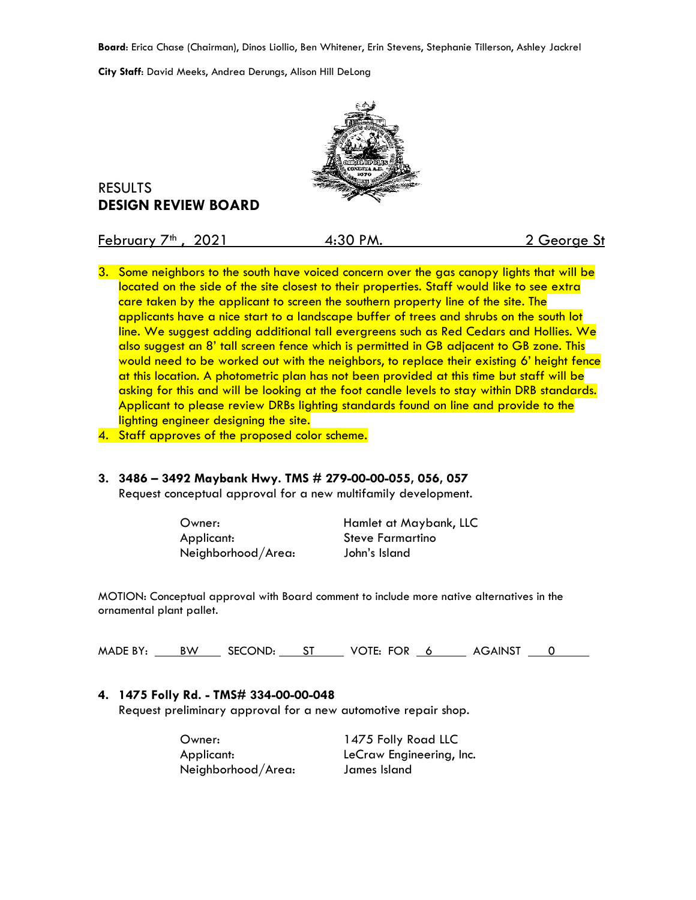**Board**: Erica Chase (Chairman), Dinos Liollio, Ben Whitener, Erin Stevens, Stephanie Tillerson, Ashley Jackrel

**City Staff**: David Meeks, Andrea Derungs, Alison Hill DeLong



## RESULTS **DESIGN REVIEW BOARD**

February  $7<sup>th</sup>$ , 2021  $4:30$  PM.  $2$  George St

- 3. Some neighbors to the south have voiced concern over the gas canopy lights that will be located on the side of the site closest to their properties. Staff would like to see extra care taken by the applicant to screen the southern property line of the site. The applicants have a nice start to a landscape buffer of trees and shrubs on the south lot line. We suggest adding additional tall evergreens such as Red Cedars and Hollies. We also suggest an 8' tall screen fence which is permitted in GB adjacent to GB zone. This would need to be worked out with the neighbors, to replace their existing 6' height fence at this location. A photometric plan has not been provided at this time but staff will be asking for this and will be looking at the foot candle levels to stay within DRB standards. Applicant to please review DRBs lighting standards found on line and provide to the lighting engineer designing the site.
- 4. Staff approves of the proposed color scheme.

#### **3. 3486 – 3492 Maybank Hwy. TMS # 279-00-00-055, 056, 057**

Request conceptual approval for a new multifamily development.

| Owner:             | Hamlet at Maybank, LLC |
|--------------------|------------------------|
| Applicant:         | Steve Farmartino       |
| Neighborhood/Area: | John's Island          |

MOTION: Conceptual approval with Board comment to include more native alternatives in the ornamental plant pallet.

MADE BY: BW SECOND: ST VOTE: FOR 6 AGAINST 0

## **4. 1475 Folly Rd. - TMS# 334-00-00-048**

Request preliminary approval for a new automotive repair shop.

Neighborhood/Area: James Island

Owner: 1475 Folly Road LLC Applicant: LeCraw Engineering, Inc.